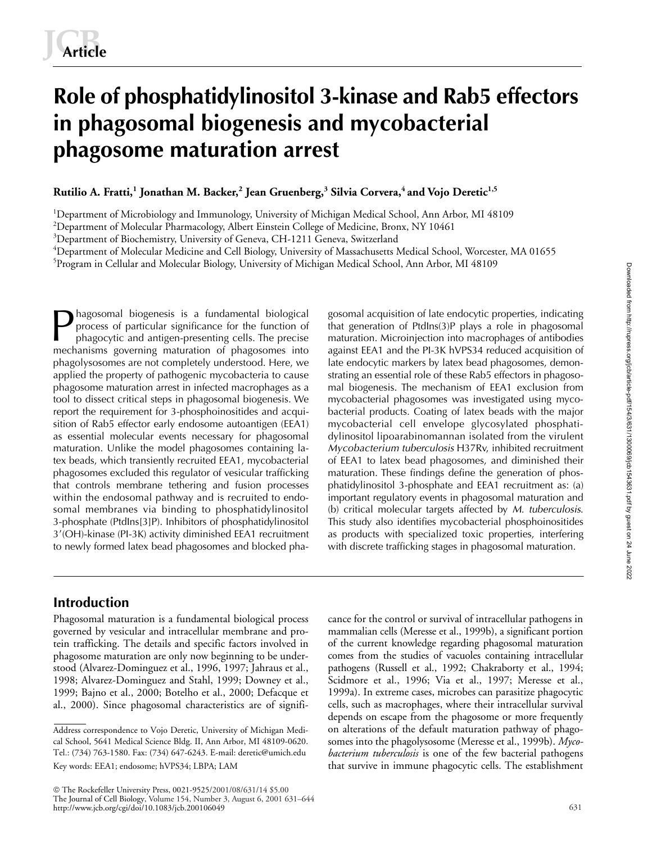# **Role of phosphatidylinositol 3-kinase and Rab5 effectors in phagosomal biogenesis and mycobacterial phagosome maturation arrest**

**Rutilio A. Fratti,<sup>1</sup> Jonathan M. Backer,<sup>2</sup> Jean Gruenberg,<sup>3</sup> Silvia Corvera,4 and Vojo Deretic1,5**

<sup>1</sup>Department of Microbiology and Immunology, University of Michigan Medical School, Ann Arbor, MI 48109

 $^{2}$ Department of Molecular Pharmacology, Albert Einstein College of Medicine, Bronx, NY 10461

<sup>3</sup>Department of Biochemistry, University of Geneva, CH-1211 Geneva, Switzerland

4 Department of Molecular Medicine and Cell Biology, University of Massachusetts Medical School, Worcester, MA 01655

5 Program in Cellular and Molecular Biology, University of Michigan Medical School, Ann Arbor, MI 48109

hagosomal biogenesis is a fundamental biological process of particular significance for the function of phagocytic and antigen-presenting cells. The precise mechanisms governing maturation of phagosomes into phagolysosomes are not completely understood. Here, we applied the property of pathogenic mycobacteria to cause phagosome maturation arrest in infected macrophages as a tool to dissect critical steps in phagosomal biogenesis. We report the requirement for 3-phosphoinositides and acquisition of Rab5 effector early endosome autoantigen (EEA1) as essential molecular events necessary for phagosomal maturation. Unlike the model phagosomes containing latex beads, which transiently recruited EEA1, mycobacterial phagosomes excluded this regulator of vesicular trafficking that controls membrane tethering and fusion processes within the endosomal pathway and is recruited to endosomal membranes via binding to phosphatidylinositol 3-phosphate (PtdIns[3]P). Inhibitors of phosphatidylinositol 3-(OH)-kinase (PI-3K) activity diminished EEA1 recruitment to newly formed latex bead phagosomes and blocked pha-Phagosomal biogenesis is a fundamental biological gosomal acquisition of late endocytic properties, indicating<br>process of particular significance for the function of that generation of PtdIns(3)P plays a role in phagosomal

that generation of PtdIns(3)P plays a role in phagosomal maturation. Microinjection into macrophages of antibodies against EEA1 and the PI-3K hVPS34 reduced acquisition of late endocytic markers by latex bead phagosomes, demonstrating an essential role of these Rab5 effectors in phagosomal biogenesis. The mechanism of EEA1 exclusion from mycobacterial phagosomes was investigated using mycobacterial products. Coating of latex beads with the major mycobacterial cell envelope glycosylated phosphatidylinositol lipoarabinomannan isolated from the virulent *Mycobacterium tuberculosis* H37Rv, inhibited recruitment of EEA1 to latex bead phagosomes, and diminished their maturation. These findings define the generation of phosphatidylinositol 3-phosphate and EEA1 recruitment as: (a) important regulatory events in phagosomal maturation and (b) critical molecular targets affected by *M. tuberculosis*. This study also identifies mycobacterial phosphoinositides as products with specialized toxic properties, interfering with discrete trafficking stages in phagosomal maturation.

# **Introduction**

Phagosomal maturation is a fundamental biological process governed by vesicular and intracellular membrane and protein trafficking. The details and specific factors involved in phagosome maturation are only now beginning to be understood (Alvarez-Dominguez et al., 1996, 1997; Jahraus et al., 1998; Alvarez-Dominguez and Stahl, 1999; Downey et al., 1999; Bajno et al., 2000; Botelho et al., 2000; Defacque et al., 2000). Since phagosomal characteristics are of signifi-

 The Rockefeller University Press, 0021-9525/2001/08/631/14 \$5.00 The Journal of Cell Biology, Volume 154, Number 3, August 6, 2001 631–644 http://www.jcb.org/cgi/doi/10.1083/jcb.200106049

cance for the control or survival of intracellular pathogens in mammalian cells (Meresse et al., 1999b), a significant portion of the current knowledge regarding phagosomal maturation comes from the studies of vacuoles containing intracellular pathogens (Russell et al., 1992; Chakraborty et al., 1994; Scidmore et al., 1996; Via et al., 1997; Meresse et al., 1999a). In extreme cases, microbes can parasitize phagocytic cells, such as macrophages, where their intracellular survival depends on escape from the phagosome or more frequently on alterations of the default maturation pathway of phagosomes into the phagolysosome (Meresse et al., 1999b). *Mycobacterium tuberculosis* is one of the few bacterial pathogens that survive in immune phagocytic cells. The establishment

Address correspondence to Vojo Deretic, University of Michigan Medical School, 5641 Medical Science Bldg. II, Ann Arbor, MI 48109-0620. Tel.: (734) 763-1580. Fax: (734) 647-6243. E-mail: deretic@umich.edu Key words: EEA1; endosome; hVPS34; LBPA; LAM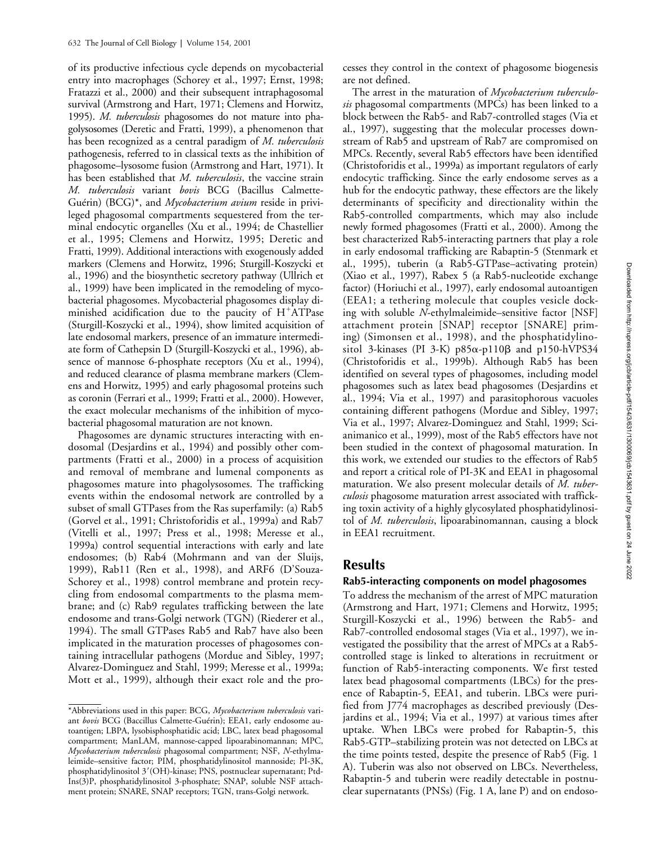of its productive infectious cycle depends on mycobacterial entry into macrophages (Schorey et al., 1997; Ernst, 1998; Fratazzi et al., 2000) and their subsequent intraphagosomal survival (Armstrong and Hart, 1971; Clemens and Horwitz, 1995). *M. tuberculosis* phagosomes do not mature into phagolysosomes (Deretic and Fratti, 1999), a phenomenon that has been recognized as a central paradigm of *M. tuberculosis* pathogenesis, referred to in classical texts as the inhibition of phagosome–lysosome fusion (Armstrong and Hart, 1971). It has been established that *M. tuberculosis*, the vaccine strain *M. tuberculosis* variant *bovis* BCG (Bacillus Calmette-Guérin) (BCG)\*, and *Mycobacterium avium* reside in privileged phagosomal compartments sequestered from the terminal endocytic organelles (Xu et al., 1994; de Chastellier et al., 1995; Clemens and Horwitz, 1995; Deretic and Fratti, 1999). Additional interactions with exogenously added markers (Clemens and Horwitz, 1996; Sturgill-Koszycki et al., 1996) and the biosynthetic secretory pathway (Ullrich et al., 1999) have been implicated in the remodeling of mycobacterial phagosomes. Mycobacterial phagosomes display diminished acidification due to the paucity of  $H^+ATP$ ase (Sturgill-Koszycki et al., 1994), show limited acquisition of late endosomal markers, presence of an immature intermediate form of Cathepsin D (Sturgill-Koszycki et al., 1996), absence of mannose 6-phosphate receptors (Xu et al., 1994), and reduced clearance of plasma membrane markers (Clemens and Horwitz, 1995) and early phagosomal proteins such as coronin (Ferrari et al., 1999; Fratti et al., 2000). However, the exact molecular mechanisms of the inhibition of mycobacterial phagosomal maturation are not known.

Phagosomes are dynamic structures interacting with endosomal (Desjardins et al., 1994) and possibly other compartments (Fratti et al., 2000) in a process of acquisition and removal of membrane and lumenal components as phagosomes mature into phagolysosomes. The trafficking events within the endosomal network are controlled by a subset of small GTPases from the Ras superfamily: (a) Rab5 (Gorvel et al., 1991; Christoforidis et al., 1999a) and Rab7 (Vitelli et al., 1997; Press et al., 1998; Meresse et al., 1999a) control sequential interactions with early and late endosomes; (b) Rab4 (Mohrmann and van der Sluijs, 1999), Rab11 (Ren et al., 1998), and ARF6 (D'Souza-Schorey et al., 1998) control membrane and protein recycling from endosomal compartments to the plasma membrane; and (c) Rab9 regulates trafficking between the late endosome and trans-Golgi network (TGN) (Riederer et al., 1994). The small GTPases Rab5 and Rab7 have also been implicated in the maturation processes of phagosomes containing intracellular pathogens (Mordue and Sibley, 1997; Alvarez-Dominguez and Stahl, 1999; Meresse et al., 1999a; Mott et al., 1999), although their exact role and the pro-

cesses they control in the context of phagosome biogenesis are not defined.

The arrest in the maturation of *Mycobacterium tuberculosis* phagosomal compartments (MPCs) has been linked to a block between the Rab5- and Rab7-controlled stages (Via et al., 1997), suggesting that the molecular processes downstream of Rab5 and upstream of Rab7 are compromised on MPCs. Recently, several Rab5 effectors have been identified (Christoforidis et al., 1999a) as important regulators of early endocytic trafficking. Since the early endosome serves as a hub for the endocytic pathway, these effectors are the likely determinants of specificity and directionality within the Rab5-controlled compartments, which may also include newly formed phagosomes (Fratti et al., 2000). Among the best characterized Rab5-interacting partners that play a role in early endosomal trafficking are Rabaptin-5 (Stenmark et al., 1995), tuberin (a Rab5-GTPase–activating protein) (Xiao et al., 1997), Rabex 5 (a Rab5-nucleotide exchange factor) (Horiuchi et al., 1997), early endosomal autoantigen (EEA1; a tethering molecule that couples vesicle docking with soluble *N*-ethylmaleimide–sensitive factor [NSF] attachment protein [SNAP] receptor [SNARE] priming) (Simonsen et al., 1998), and the phosphatidylinositol 3-kinases (PI 3-K)  $p85\alpha-p110\beta$  and  $p150-hVPS34$ (Christoforidis et al., 1999b). Although Rab5 has been identified on several types of phagosomes, including model phagosomes such as latex bead phagosomes (Desjardins et al., 1994; Via et al., 1997) and parasitophorous vacuoles containing different pathogens (Mordue and Sibley, 1997; Via et al., 1997; Alvarez-Dominguez and Stahl, 1999; Scianimanico et al., 1999), most of the Rab5 effectors have not been studied in the context of phagosomal maturation. In this work, we extended our studies to the effectors of Rab5 and report a critical role of PI-3K and EEA1 in phagosomal maturation. We also present molecular details of *M. tuberculosis* phagosome maturation arrest associated with trafficking toxin activity of a highly glycosylated phosphatidylinositol of *M. tuberculosis*, lipoarabinomannan, causing a block in EEA1 recruitment.

# **Results**

# **Rab5-interacting components on model phagosomes**

To address the mechanism of the arrest of MPC maturation (Armstrong and Hart, 1971; Clemens and Horwitz, 1995; Sturgill-Koszycki et al., 1996) between the Rab5- and Rab7-controlled endosomal stages (Via et al., 1997), we investigated the possibility that the arrest of MPCs at a Rab5 controlled stage is linked to alterations in recruitment or function of Rab5-interacting components. We first tested latex bead phagosomal compartments (LBCs) for the presence of Rabaptin-5, EEA1, and tuberin. LBCs were purified from J774 macrophages as described previously (Desjardins et al., 1994; Via et al., 1997) at various times after uptake. When LBCs were probed for Rabaptin-5, this Rab5-GTP–stabilizing protein was not detected on LBCs at the time points tested, despite the presence of Rab5 (Fig. 1 A). Tuberin was also not observed on LBCs. Nevertheless, Rabaptin-5 and tuberin were readily detectable in postnuclear supernatants (PNSs) (Fig. 1 A, lane P) and on endoso-

<sup>\*</sup>Abbreviations used in this paper: BCG, *Mycobacterium tuberculosis* variant *bovis* BCG (Baccillus Calmette-Guérin); EEA1, early endosome autoantigen; LBPA, lysobisphosphatidic acid; LBC, latex bead phagosomal compartment; ManLAM, mannose-capped lipoarabinomannan; MPC, *Mycobacterium tuberculosis* phagosomal compartment; NSF, *N*-ethylmaleimide–sensitive factor; PIM, phosphatidylinositol mannoside; PI-3K, phosphatidylinositol 3'(OH)-kinase; PNS, postnuclear supernatant; Ptd-Ins(3)P, phosphatidylinositol 3-phosphate; SNAP, soluble NSF attachment protein; SNARE, SNAP receptors; TGN, trans-Golgi network.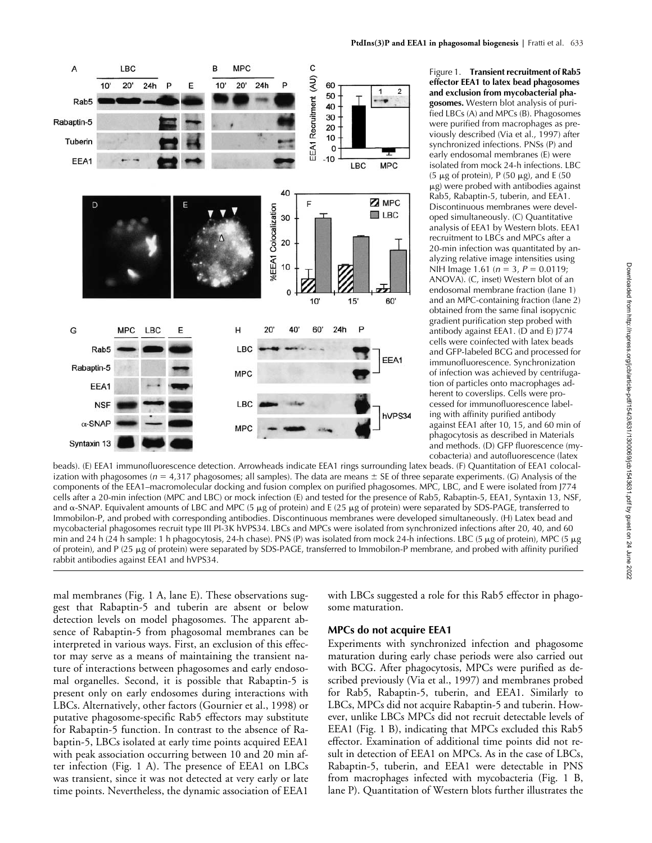

Figure 1. **Transient recruitment of Rab5 effector EEA1 to latex bead phagosomes and exclusion from mycobacterial phagosomes.** Western blot analysis of purified LBCs (A) and MPCs (B). Phagosomes were purified from macrophages as previously described (Via et al., 1997) after synchronized infections. PNSs (P) and early endosomal membranes (E) were isolated from mock 24-h infections. LBC (5  $\mu$ g of protein), P (50  $\mu$ g), and E (50  $\mu$ g) were probed with antibodies against Rab5, Rabaptin-5, tuberin, and EEA1. Discontinuous membranes were developed simultaneously. (C) Quantitative analysis of EEA1 by Western blots. EEA1 recruitment to LBCs and MPCs after a 20-min infection was quantitated by analyzing relative image intensities using NIH Image 1.61 ( $n = 3$ ,  $P = 0.0119$ ; ANOVA). (C, inset) Western blot of an endosomal membrane fraction (lane 1) and an MPC-containing fraction (lane 2) obtained from the same final isopycnic gradient purification step probed with antibody against EEA1. (D and E) J774 cells were coinfected with latex beads and GFP-labeled BCG and processed for immunofluorescence. Synchronization of infection was achieved by centrifugation of particles onto macrophages adherent to coverslips. Cells were processed for immunofluorescence labeling with affinity purified antibody against EEA1 after 10, 15, and 60 min of phagocytosis as described in Materials and methods. (D) GFP fluorescence (mycobacteria) and autofluorescence (latex

beads). (E) EEA1 immunofluorescence detection. Arrowheads indicate EEA1 rings surrounding latex beads. (F) Quantitation of EEA1 colocalization with phagosomes ( $n = 4,317$  phagosomes; all samples). The data are means  $\pm$  SE of three separate experiments. (G) Analysis of the components of the EEA1–macromolecular docking and fusion complex on purified phagosomes. MPC, LBC, and E were isolated from J774 cells after a 20-min infection (MPC and LBC) or mock infection (E) and tested for the presence of Rab5, Rabaptin-5, EEA1, Syntaxin 13, NSF, and  $\alpha$ -SNAP. Equivalent amounts of LBC and MPC (5  $\mu$ g of protein) and E (25  $\mu$ g of protein) were separated by SDS-PAGE, transferred to Immobilon-P, and probed with corresponding antibodies. Discontinuous membranes were developed simultaneously. (H) Latex bead and mycobacterial phagosomes recruit type III PI-3K hVPS34. LBCs and MPCs were isolated from synchronized infections after 20, 40, and 60 min and 24 h (24 h sample: 1 h phagocytosis, 24-h chase). PNS (P) was isolated from mock 24-h infections. LBC (5  $\mu$ g of protein), MPC (5  $\mu$ g of protein), and P (25 µg of protein) were separated by SDS-PAGE, transferred to Immobilon-P membrane, and probed with affinity purified rabbit antibodies against EEA1 and hVPS34.

mal membranes (Fig. 1 A, lane E). These observations suggest that Rabaptin-5 and tuberin are absent or below detection levels on model phagosomes. The apparent absence of Rabaptin-5 from phagosomal membranes can be interpreted in various ways. First, an exclusion of this effector may serve as a means of maintaining the transient nature of interactions between phagosomes and early endosomal organelles. Second, it is possible that Rabaptin-5 is present only on early endosomes during interactions with LBCs. Alternatively, other factors (Gournier et al., 1998) or putative phagosome-specific Rab5 effectors may substitute for Rabaptin-5 function. In contrast to the absence of Rabaptin-5, LBCs isolated at early time points acquired EEA1 with peak association occurring between 10 and 20 min after infection (Fig. 1 A). The presence of EEA1 on LBCs was transient, since it was not detected at very early or late time points. Nevertheless, the dynamic association of EEA1

with LBCs suggested a role for this Rab5 effector in phagosome maturation.

### **MPCs do not acquire EEA1**

Experiments with synchronized infection and phagosome maturation during early chase periods were also carried out with BCG. After phagocytosis, MPCs were purified as described previously (Via et al., 1997) and membranes probed for Rab5, Rabaptin-5, tuberin, and EEA1. Similarly to LBCs, MPCs did not acquire Rabaptin-5 and tuberin. However, unlike LBCs MPCs did not recruit detectable levels of EEA1 (Fig. 1 B), indicating that MPCs excluded this Rab5 effector. Examination of additional time points did not result in detection of EEA1 on MPCs. As in the case of LBCs, Rabaptin-5, tuberin, and EEA1 were detectable in PNS from macrophages infected with mycobacteria (Fig. 1 B, lane P). Quantitation of Western blots further illustrates the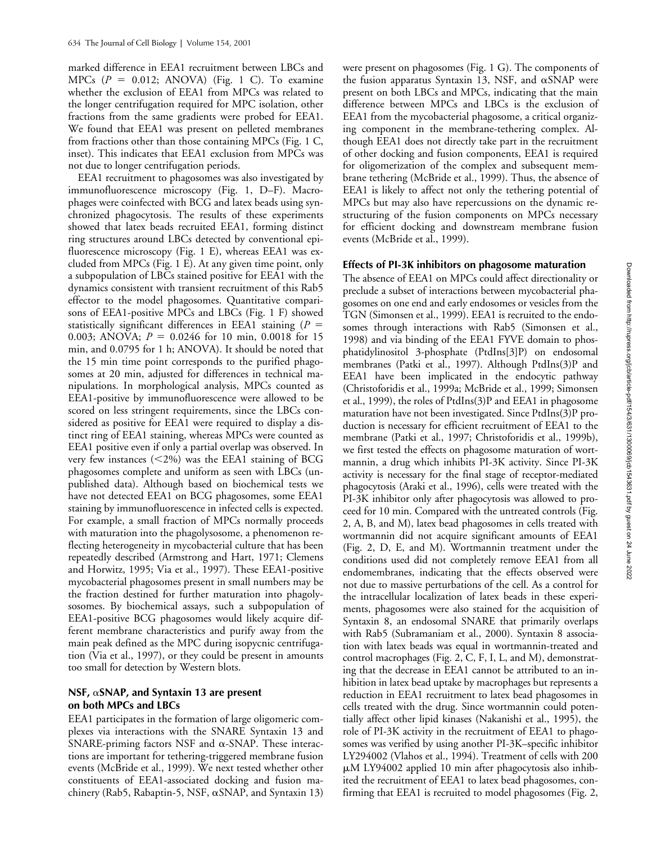marked difference in EEA1 recruitment between LBCs and MPCs  $(P = 0.012; ANOVA)$  (Fig. 1 C). To examine whether the exclusion of EEA1 from MPCs was related to the longer centrifugation required for MPC isolation, other fractions from the same gradients were probed for EEA1. We found that EEA1 was present on pelleted membranes from fractions other than those containing MPCs (Fig. 1 C, inset). This indicates that EEA1 exclusion from MPCs was not due to longer centrifugation periods.

EEA1 recruitment to phagosomes was also investigated by immunofluorescence microscopy (Fig. 1, D–F). Macrophages were coinfected with BCG and latex beads using synchronized phagocytosis. The results of these experiments showed that latex beads recruited EEA1, forming distinct ring structures around LBCs detected by conventional epifluorescence microscopy (Fig. 1 E), whereas EEA1 was excluded from MPCs (Fig. 1 E). At any given time point, only a subpopulation of LBCs stained positive for EEA1 with the dynamics consistent with transient recruitment of this Rab5 effector to the model phagosomes. Quantitative comparisons of EEA1-positive MPCs and LBCs (Fig. 1 F) showed statistically significant differences in EEA1 staining (*P* 0.003; ANOVA;  $P = 0.0246$  for 10 min, 0.0018 for 15 min, and 0.0795 for 1 h; ANOVA). It should be noted that the 15 min time point corresponds to the purified phagosomes at 20 min, adjusted for differences in technical manipulations. In morphological analysis, MPCs counted as EEA1-positive by immunofluorescence were allowed to be scored on less stringent requirements, since the LBCs considered as positive for EEA1 were required to display a distinct ring of EEA1 staining, whereas MPCs were counted as EEA1 positive even if only a partial overlap was observed. In very few instances  $\left( \langle 2\% \rangle \right)$  was the EEA1 staining of BCG phagosomes complete and uniform as seen with LBCs (unpublished data). Although based on biochemical tests we have not detected EEA1 on BCG phagosomes, some EEA1 staining by immunofluorescence in infected cells is expected. For example, a small fraction of MPCs normally proceeds with maturation into the phagolysosome, a phenomenon reflecting heterogeneity in mycobacterial culture that has been repeatedly described (Armstrong and Hart, 1971; Clemens and Horwitz, 1995; Via et al., 1997). These EEA1-positive mycobacterial phagosomes present in small numbers may be the fraction destined for further maturation into phagolysosomes. By biochemical assays, such a subpopulation of EEA1-positive BCG phagosomes would likely acquire different membrane characteristics and purify away from the main peak defined as the MPC during isopycnic centrifugation (Via et al., 1997), or they could be present in amounts too small for detection by Western blots.

# **NSF, SNAP, and Syntaxin 13 are present on both MPCs and LBCs**

EEA1 participates in the formation of large oligomeric complexes via interactions with the SNARE Syntaxin 13 and SNARE-priming factors NSF and  $\alpha$ -SNAP. These interactions are important for tethering-triggered membrane fusion events (McBride et al., 1999). We next tested whether other constituents of EEA1-associated docking and fusion machinery (Rab5, Rabaptin-5, NSF,  $\alpha$ SNAP, and Syntaxin 13)

were present on phagosomes (Fig. 1 G). The components of the fusion apparatus Syntaxin 13, NSF, and  $\alpha$ SNAP were present on both LBCs and MPCs, indicating that the main difference between MPCs and LBCs is the exclusion of EEA1 from the mycobacterial phagosome, a critical organizing component in the membrane-tethering complex. Although EEA1 does not directly take part in the recruitment of other docking and fusion components, EEA1 is required for oligomerization of the complex and subsequent membrane tethering (McBride et al., 1999). Thus, the absence of EEA1 is likely to affect not only the tethering potential of MPCs but may also have repercussions on the dynamic restructuring of the fusion components on MPCs necessary for efficient docking and downstream membrane fusion events (McBride et al., 1999).

### **Effects of PI-3K inhibitors on phagosome maturation**

The absence of EEA1 on MPCs could affect directionality or preclude a subset of interactions between mycobacterial phagosomes on one end and early endosomes or vesicles from the TGN (Simonsen et al., 1999). EEA1 is recruited to the endosomes through interactions with Rab5 (Simonsen et al., 1998) and via binding of the EEA1 FYVE domain to phosphatidylinositol 3-phosphate (PtdIns[3]P) on endosomal membranes (Patki et al., 1997). Although PtdIns(3)P and EEA1 have been implicated in the endocytic pathway (Christoforidis et al., 1999a; McBride et al., 1999; Simonsen et al., 1999), the roles of PtdIns(3)P and EEA1 in phagosome maturation have not been investigated. Since PtdIns(3)P production is necessary for efficient recruitment of EEA1 to the membrane (Patki et al., 1997; Christoforidis et al., 1999b), we first tested the effects on phagosome maturation of wortmannin, a drug which inhibits PI-3K activity. Since PI-3K activity is necessary for the final stage of receptor-mediated phagocytosis (Araki et al., 1996), cells were treated with the PI-3K inhibitor only after phagocytosis was allowed to proceed for 10 min. Compared with the untreated controls (Fig. 2, A, B, and M), latex bead phagosomes in cells treated with wortmannin did not acquire significant amounts of EEA1 (Fig. 2, D, E, and M). Wortmannin treatment under the conditions used did not completely remove EEA1 from all endomembranes, indicating that the effects observed were not due to massive perturbations of the cell. As a control for the intracellular localization of latex beads in these experiments, phagosomes were also stained for the acquisition of Syntaxin 8, an endosomal SNARE that primarily overlaps with Rab5 (Subramaniam et al., 2000). Syntaxin 8 association with latex beads was equal in wortmannin-treated and control macrophages (Fig. 2, C, F, I, L, and M), demonstrating that the decrease in EEA1 cannot be attributed to an inhibition in latex bead uptake by macrophages but represents a reduction in EEA1 recruitment to latex bead phagosomes in cells treated with the drug. Since wortmannin could potentially affect other lipid kinases (Nakanishi et al., 1995), the role of PI-3K activity in the recruitment of EEA1 to phagosomes was verified by using another PI-3K–specific inhibitor LY294002 (Vlahos et al., 1994). Treatment of cells with 200 M LY94002 applied 10 min after phagocytosis also inhibited the recruitment of EEA1 to latex bead phagosomes, confirming that EEA1 is recruited to model phagosomes (Fig. 2,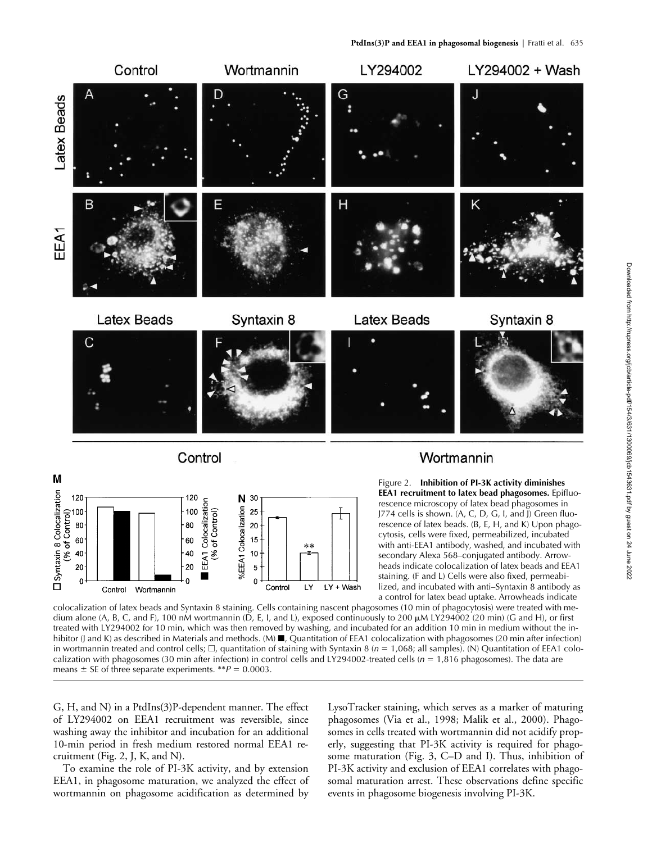

with anti-EEA1 antibody, washed, and incubated with secondary Alexa 568–conjugated antibody. Arrowheads indicate colocalization of latex beads and EEA1 staining. (F and L) Cells were also fixed, permeabilized, and incubated with anti–Syntaxin 8 antibody as a control for latex bead uptake. Arrowheads indicate

colocalization of latex beads and Syntaxin 8 staining. Cells containing nascent phagosomes (10 min of phagocytosis) were treated with medium alone (A, B, C, and F), 100 nM wortmannin (D, E, I, and L), exposed continuously to 200  $\mu$ M LY294002 (20 min) (G and H), or first treated with LY294002 for 10 min, which was then removed by washing, and incubated for an addition 10 min in medium without the inhibitor (J and K) as described in Materials and methods. (M) ■, Quantitation of EEA1 colocalization with phagosomes (20 min after infection) in wortmannin treated and control cells;  $\Box$ , quantitation of staining with Syntaxin 8 ( $n = 1,068$ ; all samples). (N) Quantitation of EEA1 colocalization with phagosomes (30 min after infection) in control cells and LY294002-treated cells (*n* = 1,816 phagosomes). The data are means  $\pm$  SE of three separate experiments. \*\* $P = 0.0003$ .

LY

LY + Wash

G, H, and N) in a PtdIns(3)P-dependent manner. The effect of LY294002 on EEA1 recruitment was reversible, since washing away the inhibitor and incubation for an additional 10-min period in fresh medium restored normal EEA1 recruitment (Fig. 2, J, K, and N).

40

20

20  $\mathbf 0$ 

Control

Wortmannin

10

 $\mathbf 0$ 

Control

To examine the role of PI-3K activity, and by extension EEA1, in phagosome maturation, we analyzed the effect of wortmannin on phagosome acidification as determined by

LysoTracker staining, which serves as a marker of maturing phagosomes (Via et al., 1998; Malik et al., 2000). Phagosomes in cells treated with wortmannin did not acidify properly, suggesting that PI-3K activity is required for phagosome maturation (Fig. 3, C–D and I). Thus, inhibition of PI-3K activity and exclusion of EEA1 correlates with phagosomal maturation arrest. These observations define specific events in phagosome biogenesis involving PI-3K.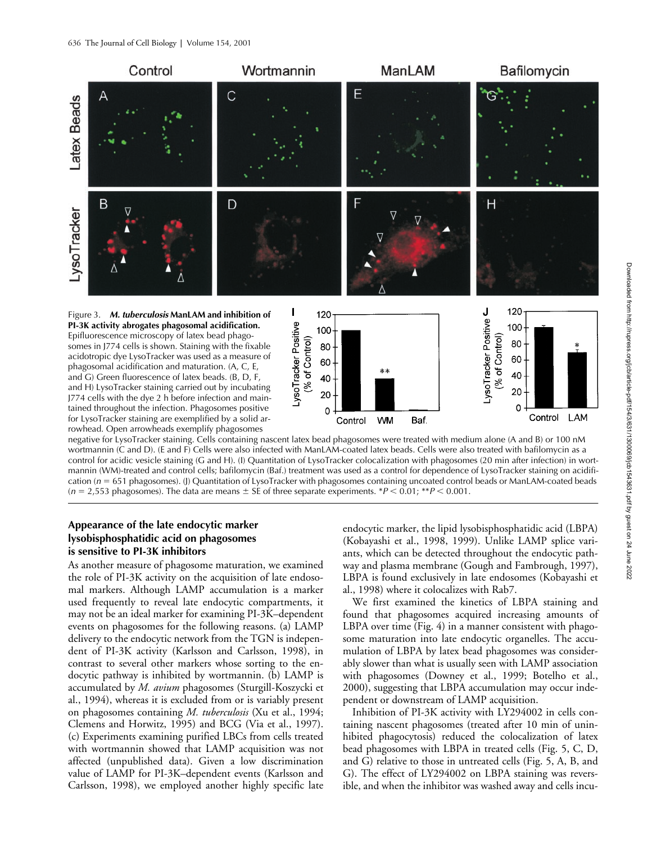

negative for LysoTracker staining. Cells containing nascent latex bead phagosomes were treated with medium alone (A and B) or 100 nM wortmannin (C and D). (E and F) Cells were also infected with ManLAM-coated latex beads. Cells were also treated with bafilomycin as a control for acidic vesicle staining (G and H). (I) Quantitation of LysoTracker colocalization with phagosomes (20 min after infection) in wortmannin (WM)-treated and control cells; bafilomycin (Baf.) treatment was used as a control for dependence of LysoTracker staining on acidification ( $n = 651$  phagosomes). (J) Quantitation of LysoTracker with phagosomes containing uncoated control beads or ManLAM-coated beads  $(n = 2.553$  phagosomes). The data are means  $\pm$  SE of three separate experiments. \**P* < 0.01; \*\**P* < 0.001.

# **Appearance of the late endocytic marker lysobisphosphatidic acid on phagosomes is sensitive to PI-3K inhibitors**

As another measure of phagosome maturation, we examined the role of PI-3K activity on the acquisition of late endosomal markers. Although LAMP accumulation is a marker used frequently to reveal late endocytic compartments, it may not be an ideal marker for examining PI-3K–dependent events on phagosomes for the following reasons. (a) LAMP delivery to the endocytic network from the TGN is independent of PI-3K activity (Karlsson and Carlsson, 1998), in contrast to several other markers whose sorting to the endocytic pathway is inhibited by wortmannin. (b) LAMP is accumulated by *M. avium* phagosomes (Sturgill-Koszycki et al., 1994), whereas it is excluded from or is variably present on phagosomes containing *M. tuberculosis* (Xu et al., 1994; Clemens and Horwitz, 1995) and BCG (Via et al., 1997). (c) Experiments examining purified LBCs from cells treated with wortmannin showed that LAMP acquisition was not affected (unpublished data). Given a low discrimination value of LAMP for PI-3K–dependent events (Karlsson and Carlsson, 1998), we employed another highly specific late

endocytic marker, the lipid lysobisphosphatidic acid (LBPA) (Kobayashi et al., 1998, 1999). Unlike LAMP splice variants, which can be detected throughout the endocytic pathway and plasma membrane (Gough and Fambrough, 1997), LBPA is found exclusively in late endosomes (Kobayashi et al., 1998) where it colocalizes with Rab7.

We first examined the kinetics of LBPA staining and found that phagosomes acquired increasing amounts of LBPA over time (Fig. 4) in a manner consistent with phagosome maturation into late endocytic organelles. The accumulation of LBPA by latex bead phagosomes was considerably slower than what is usually seen with LAMP association with phagosomes (Downey et al., 1999; Botelho et al., 2000), suggesting that LBPA accumulation may occur independent or downstream of LAMP acquisition.

Inhibition of PI-3K activity with LY294002 in cells containing nascent phagosomes (treated after 10 min of uninhibited phagocytosis) reduced the colocalization of latex bead phagosomes with LBPA in treated cells (Fig. 5, C, D, and G) relative to those in untreated cells (Fig. 5, A, B, and G). The effect of LY294002 on LBPA staining was reversible, and when the inhibitor was washed away and cells incu-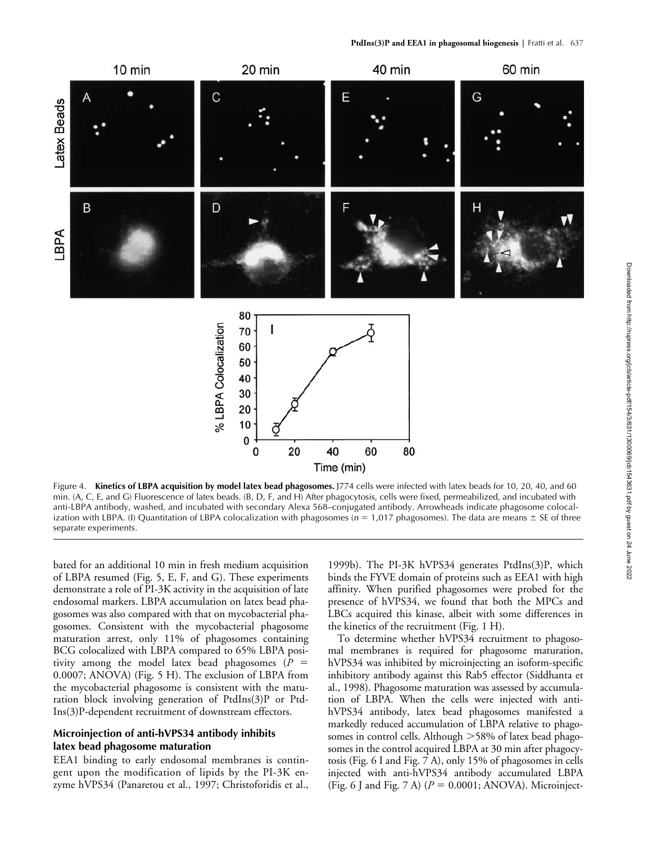

Figure 4. **Kinetics of LBPA acquisition by model latex bead phagosomes.** J774 cells were infected with latex beads for 10, 20, 40, and 60 min. (A, C, E, and G) Fluorescence of latex beads. (B, D, F, and H) After phagocytosis, cells were fixed, permeabilized, and incubated with anti-LBPA antibody, washed, and incubated with secondary Alexa 568–conjugated antibody. Arrowheads indicate phagosome colocalization with LBPA. (I) Quantitation of LBPA colocalization with phagosomes ( $n = 1,017$  phagosomes). The data are means  $\pm$  SE of three separate experiments.

bated for an additional 10 min in fresh medium acquisition of LBPA resumed (Fig. 5, E, F, and G). These experiments demonstrate a role of PI-3K activity in the acquisition of late endosomal markers. LBPA accumulation on latex bead phagosomes was also compared with that on mycobacterial phagosomes. Consistent with the mycobacterial phagosome maturation arrest, only 11% of phagosomes containing BCG colocalized with LBPA compared to 65% LBPA positivity among the model latex bead phagosomes (*P* 0.0007; ANOVA) (Fig. 5 H). The exclusion of LBPA from the mycobacterial phagosome is consistent with the maturation block involving generation of PtdIns(3)P or Ptd-Ins(3)P-dependent recruitment of downstream effectors.

### **Microinjection of anti-hVPS34 antibody inhibits latex bead phagosome maturation**

EEA1 binding to early endosomal membranes is contingent upon the modification of lipids by the PI-3K enzyme hVPS34 (Panaretou et al., 1997; Christoforidis et al.,

1999b). The PI-3K hVPS34 generates PtdIns(3)P, which binds the FYVE domain of proteins such as EEA1 with high affinity. When purified phagosomes were probed for the presence of hVPS34, we found that both the MPCs and LBCs acquired this kinase, albeit with some differences in the kinetics of the recruitment (Fig. 1 H).

To determine whether hVPS34 recruitment to phagosomal membranes is required for phagosome maturation, hVPS34 was inhibited by microinjecting an isoform-specific inhibitory antibody against this Rab5 effector (Siddhanta et al., 1998). Phagosome maturation was assessed by accumulation of LBPA. When the cells were injected with antihVPS34 antibody, latex bead phagosomes manifested a markedly reduced accumulation of LBPA relative to phagosomes in control cells. Although 58% of latex bead phagosomes in the control acquired LBPA at 30 min after phagocytosis (Fig. 6 I and Fig. 7 A), only 15% of phagosomes in cells injected with anti-hVPS34 antibody accumulated LBPA (Fig. 6 J and Fig. 7 A)  $(P = 0.0001; ANOVA)$ . Microinject-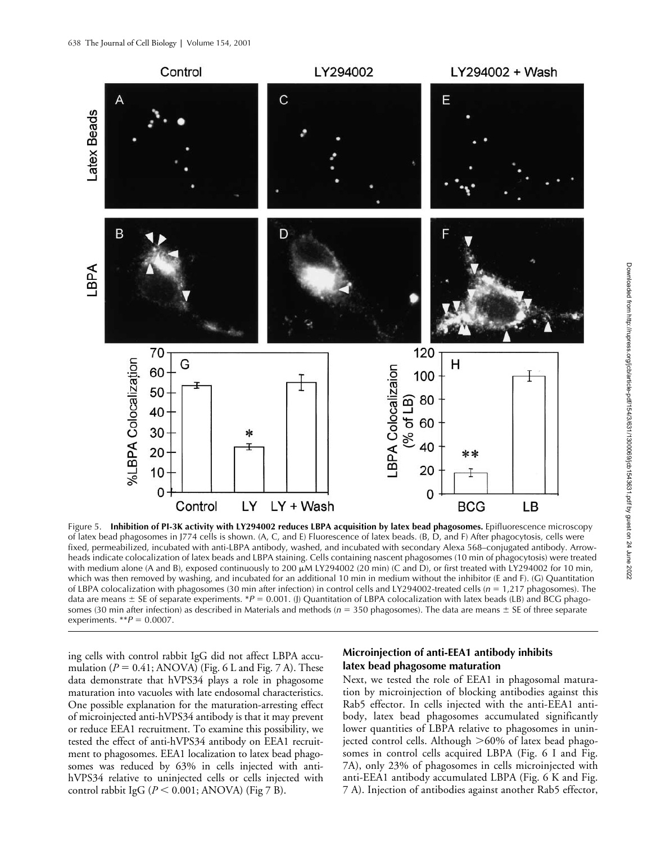

Figure 5. **Inhibition of PI-3K activity with LY294002 reduces LBPA acquisition by latex bead phagosomes.** Epifluorescence microscopy of latex bead phagosomes in J774 cells is shown. (A, C, and E) Fluorescence of latex beads. (B, D, and F) After phagocytosis, cells were fixed, permeabilized, incubated with anti-LBPA antibody, washed, and incubated with secondary Alexa 568–conjugated antibody. Arrowheads indicate colocalization of latex beads and LBPA staining. Cells containing nascent phagosomes (10 min of phagocytosis) were treated with medium alone (A and B), exposed continuously to 200  $\mu$ M LY294002 (20 min) (C and D), or first treated with LY294002 for 10 min, which was then removed by washing, and incubated for an additional 10 min in medium without the inhibitor (E and F). (G) Quantitation of LBPA colocalization with phagosomes (30 min after infection) in control cells and LY294002-treated cells (*n* 1,217 phagosomes). The data are means  $\pm$  SE of separate experiments. \**P* = 0.001. (J) Quantitation of LBPA colocalization with latex beads (LB) and BCG phagosomes (30 min after infection) as described in Materials and methods ( $n = 350$  phagosomes). The data are means  $\pm$  SE of three separate experiments.  $^{**}P = 0.0007$ .

ing cells with control rabbit IgG did not affect LBPA accumulation  $(P = 0.41; ANOVA)$  (Fig. 6 L and Fig. 7 A). These data demonstrate that hVPS34 plays a role in phagosome maturation into vacuoles with late endosomal characteristics. One possible explanation for the maturation-arresting effect of microinjected anti-hVPS34 antibody is that it may prevent or reduce EEA1 recruitment. To examine this possibility, we tested the effect of anti-hVPS34 antibody on EEA1 recruitment to phagosomes. EEA1 localization to latex bead phagosomes was reduced by 63% in cells injected with antihVPS34 relative to uninjected cells or cells injected with control rabbit IgG ( $P \le 0.001$ ; ANOVA) (Fig 7 B).

### **Microinjection of anti-EEA1 antibody inhibits latex bead phagosome maturation**

Next, we tested the role of EEA1 in phagosomal maturation by microinjection of blocking antibodies against this Rab5 effector. In cells injected with the anti-EEA1 antibody, latex bead phagosomes accumulated significantly lower quantities of LBPA relative to phagosomes in uninjected control cells. Although 60% of latex bead phagosomes in control cells acquired LBPA (Fig. 6 I and Fig. 7A), only 23% of phagosomes in cells microinjected with anti-EEA1 antibody accumulated LBPA (Fig. 6 K and Fig. 7 A). Injection of antibodies against another Rab5 effector,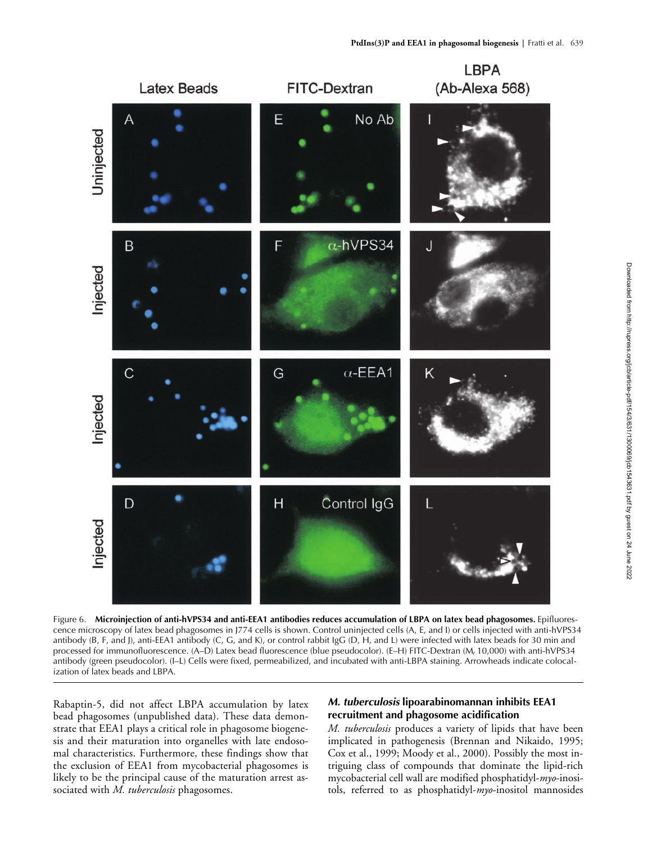

Figure 6. **Microinjection of anti-hVPS34 and anti-EEA1 antibodies reduces accumulation of LBPA on latex bead phagosomes.** Epifluorescence microscopy of latex bead phagosomes in J774 cells is shown. Control uninjected cells (A, E, and I) or cells injected with anti-hVPS34 antibody (B, F, and J), anti-EEA1 antibody (C, G, and K), or control rabbit IgG (D, H, and L) were infected with latex beads for 30 min and processed for immunofluorescence. (A–D) Latex bead fluorescence (blue pseudocolor). (E–H) FITC-Dextran (M*r* 10,000) with anti-hVPS34 antibody (green pseudocolor). (I–L) Cells were fixed, permeabilized, and incubated with anti-LBPA staining. Arrowheads indicate colocalization of latex beads and LBPA.

Rabaptin-5, did not affect LBPA accumulation by latex bead phagosomes (unpublished data). These data demonstrate that EEA1 plays a critical role in phagosome biogenesis and their maturation into organelles with late endosomal characteristics. Furthermore, these findings show that the exclusion of EEA1 from mycobacterial phagosomes is likely to be the principal cause of the maturation arrest associated with *M. tuberculosis* phagosomes.

# *M. tuberculosis* **lipoarabinomannan inhibits EEA1 recruitment and phagosome acidification**

*M. tuberculosis* produces a variety of lipids that have been implicated in pathogenesis (Brennan and Nikaido, 1995; Cox et al., 1999; Moody et al., 2000). Possibly the most intriguing class of compounds that dominate the lipid-rich mycobacterial cell wall are modified phosphatidyl-*myo*-inositols, referred to as phosphatidyl-*myo*-inositol mannosides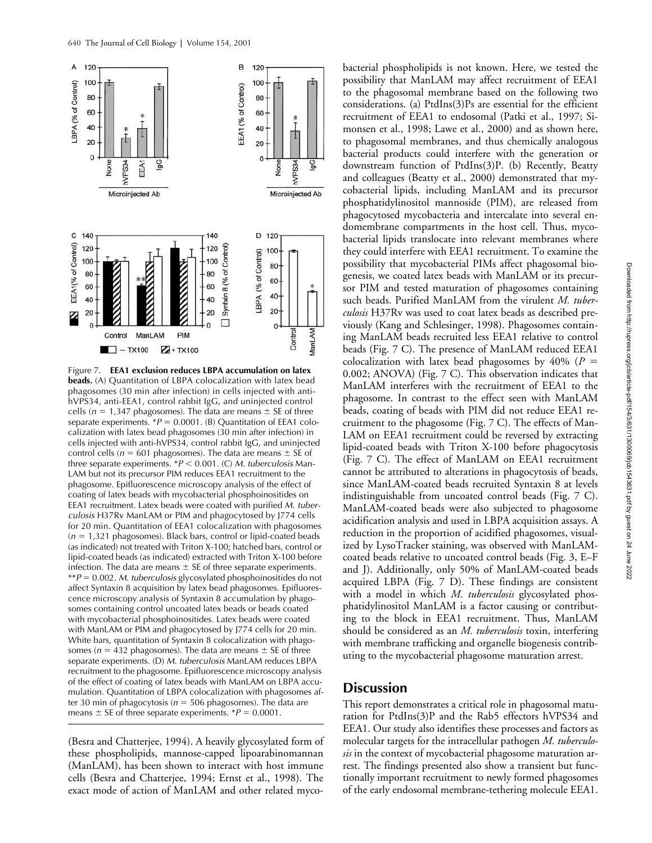

Figure 7. **EEA1 exclusion reduces LBPA accumulation on latex beads.** (A) Quantitation of LBPA colocalization with latex bead phagosomes (30 min after infection) in cells injected with antihVPS34, anti-EEA1, control rabbit IgG, and uninjected control cells ( $n = 1,347$  phagosomes). The data are means  $\pm$  SE of three separate experiments.  $*P = 0.0001$ . (B) Quantitation of EEA1 colocalization with latex bead phagosomes (30 min after infection) in cells injected with anti-hVPS34, control rabbit IgG, and uninjected control cells ( $n = 601$  phagosomes). The data are means  $\pm$  SE of three separate experiments.  $*P < 0.001$ . (C) *M. tuberculosis* Man-LAM but not its precursor PIM reduces EEA1 recruitment to the phagosome. Epifluorescence microscopy analysis of the effect of coating of latex beads with mycobacterial phosphoinositides on EEA1 recruitment. Latex beads were coated with purified *M. tuberculosis* H37Rv ManLAM or PIM and phagocytosed by J774 cells for 20 min. Quantitation of EEA1 colocalization with phagosomes  $(n = 1,321$  phagosomes). Black bars, control or lipid-coated beads (as indicated) not treated with Triton X-100; hatched bars, control or lipid-coated beads (as indicated) extracted with Triton X-100 before infection. The data are means  $\pm$  SE of three separate experiments. \*\**P*  0.002. *M. tuberculosis* glycosylated phosphoinositides do not affect Syntaxin 8 acquisition by latex bead phagosomes. Epifluorescence microscopy analysis of Syntaxin 8 accumulation by phagosomes containing control uncoated latex beads or beads coated with mycobacterial phosphoinositides. Latex beads were coated with ManLAM or PIM and phagocytosed by J774 cells for 20 min. White bars, quantitation of Syntaxin 8 colocalization with phagosomes ( $n = 432$  phagosomes). The data are means  $\pm$  SE of three separate experiments. (D) *M. tuberculosis* ManLAM reduces LBPA recruitment to the phagosome. Epifluorescence microscopy analysis of the effect of coating of latex beads with ManLAM on LBPA accumulation. Quantitation of LBPA colocalization with phagosomes after 30 min of phagocytosis ( $n = 506$  phagosomes). The data are means  $\pm$  SE of three separate experiments.  $*P = 0.0001$ .

(Besra and Chatterjee, 1994). A heavily glycosylated form of these phospholipids, mannose-capped lipoarabinomannan (ManLAM), has been shown to interact with host immune cells (Besra and Chatterjee, 1994; Ernst et al., 1998). The exact mode of action of ManLAM and other related mycobacterial phospholipids is not known. Here, we tested the possibility that ManLAM may affect recruitment of EEA1 to the phagosomal membrane based on the following two considerations. (a) PtdIns(3)Ps are essential for the efficient recruitment of EEA1 to endosomal (Patki et al., 1997; Simonsen et al., 1998; Lawe et al., 2000) and as shown here, to phagosomal membranes, and thus chemically analogous bacterial products could interfere with the generation or downstream function of PtdIns(3)P. (b) Recently, Beatty and colleagues (Beatty et al., 2000) demonstrated that mycobacterial lipids, including ManLAM and its precursor phosphatidylinositol mannoside (PIM), are released from phagocytosed mycobacteria and intercalate into several endomembrane compartments in the host cell. Thus, mycobacterial lipids translocate into relevant membranes where they could interfere with EEA1 recruitment. To examine the possibility that mycobacterial PIMs affect phagosomal biogenesis, we coated latex beads with ManLAM or its precursor PIM and tested maturation of phagosomes containing such beads. Purified ManLAM from the virulent *M. tuberculosis* H37Rv was used to coat latex beads as described previously (Kang and Schlesinger, 1998). Phagosomes containing ManLAM beads recruited less EEA1 relative to control beads (Fig. 7 C). The presence of ManLAM reduced EEA1 colocalization with latex bead phagosomes by 40% (*P* 0.002; ANOVA) (Fig. 7 C). This observation indicates that ManLAM interferes with the recruitment of EEA1 to the phagosome. In contrast to the effect seen with ManLAM beads, coating of beads with PIM did not reduce EEA1 recruitment to the phagosome (Fig. 7 C). The effects of Man-LAM on EEA1 recruitment could be reversed by extracting lipid-coated beads with Triton X-100 before phagocytosis (Fig. 7 C). The effect of ManLAM on EEA1 recruitment cannot be attributed to alterations in phagocytosis of beads, since ManLAM-coated beads recruited Syntaxin 8 at levels indistinguishable from uncoated control beads (Fig. 7 C). ManLAM-coated beads were also subjected to phagosome acidification analysis and used in LBPA acquisition assays. A reduction in the proportion of acidified phagosomes, visualized by LysoTracker staining, was observed with ManLAMcoated beads relative to uncoated control beads (Fig. 3, E–F and J). Additionally, only 50% of ManLAM-coated beads acquired LBPA (Fig. 7 D). These findings are consistent with a model in which *M. tuberculosis* glycosylated phosphatidylinositol ManLAM is a factor causing or contributing to the block in EEA1 recruitment. Thus, ManLAM should be considered as an *M. tuberculosis* toxin, interfering with membrane trafficking and organelle biogenesis contributing to the mycobacterial phagosome maturation arrest.

# **Discussion**

This report demonstrates a critical role in phagosomal maturation for PtdIns(3)P and the Rab5 effectors hVPS34 and EEA1. Our study also identifies these processes and factors as molecular targets for the intracellular pathogen *M. tuberculosis* in the context of mycobacterial phagosome maturation arrest. The findings presented also show a transient but functionally important recruitment to newly formed phagosomes of the early endosomal membrane-tethering molecule EEA1.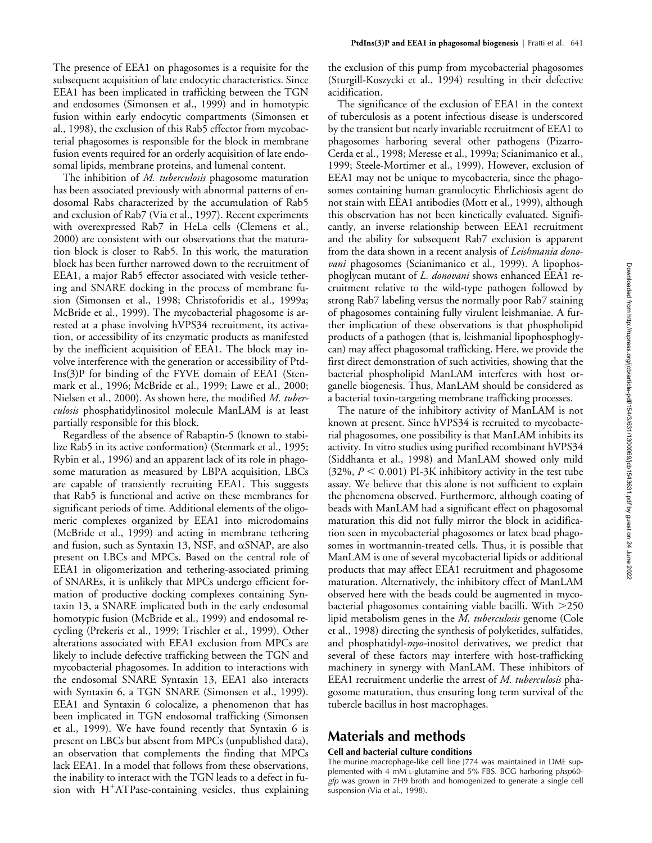The presence of EEA1 on phagosomes is a requisite for the subsequent acquisition of late endocytic characteristics. Since EEA1 has been implicated in trafficking between the TGN and endosomes (Simonsen et al., 1999) and in homotypic fusion within early endocytic compartments (Simonsen et al., 1998), the exclusion of this Rab5 effector from mycobacterial phagosomes is responsible for the block in membrane fusion events required for an orderly acquisition of late endosomal lipids, membrane proteins, and lumenal content.

The inhibition of *M. tuberculosis* phagosome maturation has been associated previously with abnormal patterns of endosomal Rabs characterized by the accumulation of Rab5 and exclusion of Rab7 (Via et al., 1997). Recent experiments with overexpressed Rab7 in HeLa cells (Clemens et al., 2000) are consistent with our observations that the maturation block is closer to Rab5. In this work, the maturation block has been further narrowed down to the recruitment of EEA1, a major Rab5 effector associated with vesicle tethering and SNARE docking in the process of membrane fusion (Simonsen et al., 1998; Christoforidis et al., 1999a; McBride et al., 1999). The mycobacterial phagosome is arrested at a phase involving hVPS34 recruitment, its activation, or accessibility of its enzymatic products as manifested by the inefficient acquisition of EEA1. The block may involve interference with the generation or accessibility of Ptd-Ins(3)P for binding of the FYVE domain of EEA1 (Stenmark et al., 1996; McBride et al., 1999; Lawe et al., 2000; Nielsen et al., 2000). As shown here, the modified *M. tuberculosis* phosphatidylinositol molecule ManLAM is at least partially responsible for this block.

Regardless of the absence of Rabaptin-5 (known to stabilize Rab5 in its active conformation) (Stenmark et al., 1995; Rybin et al., 1996) and an apparent lack of its role in phagosome maturation as measured by LBPA acquisition, LBCs are capable of transiently recruiting EEA1. This suggests that Rab5 is functional and active on these membranes for significant periods of time. Additional elements of the oligomeric complexes organized by EEA1 into microdomains (McBride et al., 1999) and acting in membrane tethering and fusion, such as Syntaxin 13, NSF, and  $\alpha$ SNAP, are also present on LBCs and MPCs. Based on the central role of EEA1 in oligomerization and tethering-associated priming of SNAREs, it is unlikely that MPCs undergo efficient formation of productive docking complexes containing Syntaxin 13, a SNARE implicated both in the early endosomal homotypic fusion (McBride et al., 1999) and endosomal recycling (Prekeris et al., 1999; Trischler et al., 1999). Other alterations associated with EEA1 exclusion from MPCs are likely to include defective trafficking between the TGN and mycobacterial phagosomes. In addition to interactions with the endosomal SNARE Syntaxin 13, EEA1 also interacts with Syntaxin 6, a TGN SNARE (Simonsen et al., 1999). EEA1 and Syntaxin 6 colocalize, a phenomenon that has been implicated in TGN endosomal trafficking (Simonsen et al., 1999). We have found recently that Syntaxin 6 is present on LBCs but absent from MPCs (unpublished data), an observation that complements the finding that MPCs lack EEA1. In a model that follows from these observations, the inability to interact with the TGN leads to a defect in fusion with  $H^+ATP$ ase-containing vesicles, thus explaining the exclusion of this pump from mycobacterial phagosomes (Sturgill-Koszycki et al., 1994) resulting in their defective acidification.

The significance of the exclusion of EEA1 in the context of tuberculosis as a potent infectious disease is underscored by the transient but nearly invariable recruitment of EEA1 to phagosomes harboring several other pathogens (Pizarro-Cerda et al., 1998; Meresse et al., 1999a; Scianimanico et al., 1999; Steele-Mortimer et al., 1999). However, exclusion of EEA1 may not be unique to mycobacteria, since the phagosomes containing human granulocytic Ehrlichiosis agent do not stain with EEA1 antibodies (Mott et al., 1999), although this observation has not been kinetically evaluated. Significantly, an inverse relationship between EEA1 recruitment and the ability for subsequent Rab7 exclusion is apparent from the data shown in a recent analysis of *Leishmania donovani* phagosomes (Scianimanico et al., 1999). A lipophosphoglycan mutant of *L. donovani* shows enhanced EEA1 recruitment relative to the wild-type pathogen followed by strong Rab7 labeling versus the normally poor Rab7 staining of phagosomes containing fully virulent leishmaniae. A further implication of these observations is that phospholipid products of a pathogen (that is, leishmanial lipophosphoglycan) may affect phagosomal trafficking. Here, we provide the first direct demonstration of such activities, showing that the bacterial phospholipid ManLAM interferes with host organelle biogenesis. Thus, ManLAM should be considered as a bacterial toxin-targeting membrane trafficking processes.

The nature of the inhibitory activity of ManLAM is not known at present. Since hVPS34 is recruited to mycobacterial phagosomes, one possibility is that ManLAM inhibits its activity. In vitro studies using purified recombinant hVPS34 (Siddhanta et al., 1998) and ManLAM showed only mild  $(32\%, P \leq 0.001)$  PI-3K inhibitory activity in the test tube assay. We believe that this alone is not sufficient to explain the phenomena observed. Furthermore, although coating of beads with ManLAM had a significant effect on phagosomal maturation this did not fully mirror the block in acidification seen in mycobacterial phagosomes or latex bead phagosomes in wortmannin-treated cells. Thus, it is possible that ManLAM is one of several mycobacterial lipids or additional products that may affect EEA1 recruitment and phagosome maturation. Alternatively, the inhibitory effect of ManLAM observed here with the beads could be augmented in mycobacterial phagosomes containing viable bacilli. With 250 lipid metabolism genes in the *M. tuberculosis* genome (Cole et al., 1998) directing the synthesis of polyketides, sulfatides, and phosphatidyl-*myo-*inositol derivatives, we predict that several of these factors may interfere with host-trafficking machinery in synergy with ManLAM. These inhibitors of EEA1 recruitment underlie the arrest of *M. tuberculosis* phagosome maturation, thus ensuring long term survival of the tubercle bacillus in host macrophages.

# **Materials and methods**

### **Cell and bacterial culture conditions**

The murine macrophage-like cell line J774 was maintained in DME supplemented with 4 mM L-glutamine and 5% FBS. BCG harboring p*hsp*60 *gfp* was grown in 7H9 broth and homogenized to generate a single cell suspension (Via et al., 1998).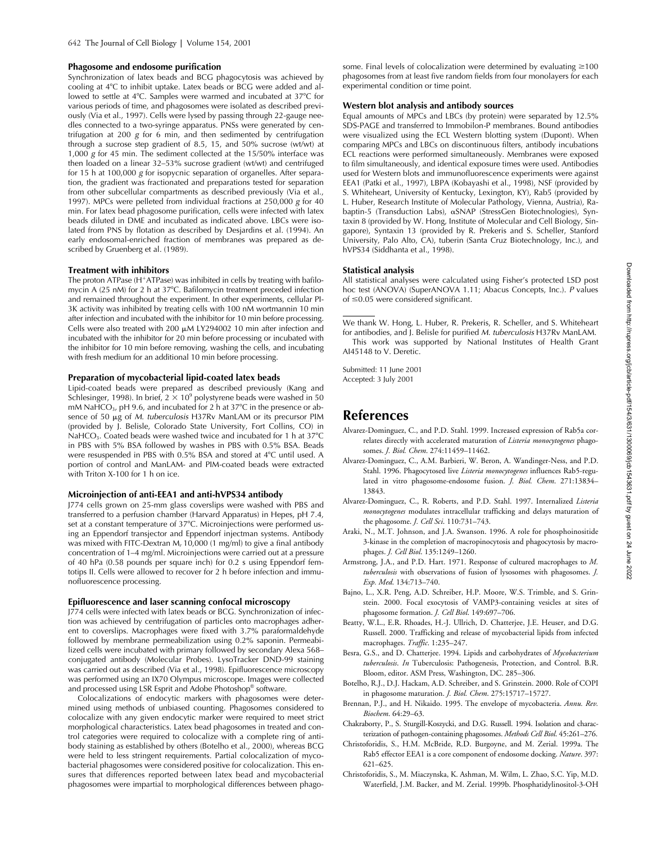#### **Phagosome and endosome purification**

Synchronization of latex beads and BCG phagocytosis was achieved by cooling at 4°C to inhibit uptake. Latex beads or BCG were added and allowed to settle at 4°C. Samples were warmed and incubated at 37°C for various periods of time, and phagosomes were isolated as described previously (Via et al., 1997). Cells were lysed by passing through 22-gauge needles connected to a two-syringe apparatus. PNSs were generated by centrifugation at 200 *g* for 6 min, and then sedimented by centrifugation through a sucrose step gradient of 8.5, 15, and 50% sucrose (wt/wt) at 1,000 *g* for 45 min. The sediment collected at the 15/50% interface was then loaded on a linear 32–53% sucrose gradient (wt/wt) and centrifuged for 15 h at 100,000 *g* for isopycnic separation of organelles. After separation, the gradient was fractionated and preparations tested for separation from other subcellular compartments as described previously (Via et al., 1997). MPCs were pelleted from individual fractions at 250,000 *g* for 40 min. For latex bead phagosome purification, cells were infected with latex beads diluted in DME and incubated as indicated above. LBCs were isolated from PNS by flotation as described by Desjardins et al. (1994). An early endosomal-enriched fraction of membranes was prepared as described by Gruenberg et al*.* (1989).

### **Treatment with inhibitors**

The proton ATPase (H<sup>+</sup>ATPase) was inhibited in cells by treating with bafilomycin A (25 nM) for 2 h at 37°C. Bafilomycin treatment preceded infection and remained throughout the experiment. In other experiments, cellular PI-3K activity was inhibited by treating cells with 100 nM wortmannin 10 min after infection and incubated with the inhibitor for 10 min before processing. Cells were also treated with 200  $\mu$ M LY294002 10 min after infection and incubated with the inhibitor for 20 min before processing or incubated with the inhibitor for 10 min before removing, washing the cells, and incubating with fresh medium for an additional 10 min before processing.

#### **Preparation of mycobacterial lipid-coated latex beads**

Lipid-coated beads were prepared as described previously (Kang and Schlesinger, 1998). In brief,  $2 \times 10^9$  polystyrene beads were washed in 50 mM NaHCO<sub>3</sub>, pH 9.6, and incubated for 2 h at 37°C in the presence or absence of 50 µg of *M. tuberculosis* H37Rv ManLAM or its precursor PIM (provided by J. Belisle, Colorado State University, Fort Collins, CO) in NaHCO<sub>3</sub>. Coated beads were washed twice and incubated for 1 h at  $37^{\circ}$ C in PBS with 5% BSA followed by washes in PBS with 0.5% BSA. Beads were resuspended in PBS with 0.5% BSA and stored at 4°C until used. A portion of control and ManLAM- and PIM-coated beads were extracted with Triton X-100 for 1 h on ice.

#### **Microinjection of anti-EEA1 and anti-hVPS34 antibody**

J774 cells grown on 25-mm glass coverslips were washed with PBS and transferred to a perfusion chamber (Harvard Apparatus) in Hepes, pH 7.4, set at a constant temperature of 37°C. Microinjections were performed using an Eppendorf transjector and Eppendorf injectman systems. Antibody was mixed with FITC-Dextran M*r* 10,000 (1 mg/ml) to give a final antibody concentration of 1–4 mg/ml. Microinjections were carried out at a pressure of 40 hPa (0.58 pounds per square inch) for 0.2 s using Eppendorf femtotips II. Cells were allowed to recover for 2 h before infection and immunofluorescence processing.

#### **Epifluorescence and laser scanning confocal microscopy**

J774 cells were infected with latex beads or BCG. Synchronization of infection was achieved by centrifugation of particles onto macrophages adherent to coverslips. Macrophages were fixed with 3.7% paraformaldehyde followed by membrane permeabilization using 0.2% saponin. Permeabilized cells were incubated with primary followed by secondary Alexa 568– conjugated antibody (Molecular Probes). LysoTracker DND-99 staining was carried out as described (Via et al., 1998). Epifluorescence microscopy was performed using an IX70 Olympus microscope. Images were collected and processed using LSR Esprit and Adobe Photoshop® software.

Colocalizations of endocytic markers with phagosomes were determined using methods of unbiased counting. Phagosomes considered to colocalize with any given endocytic marker were required to meet strict morphological characteristics. Latex bead phagosomes in treated and control categories were required to colocalize with a complete ring of antibody staining as established by others (Botelho et al., 2000), whereas BCG were held to less stringent requirements. Partial colocalization of mycobacterial phagosomes were considered positive for colocalization. This ensures that differences reported between latex bead and mycobacterial phagosomes were impartial to morphological differences between phago-

some. Final levels of colocalization were determined by evaluating ≥100 phagosomes from at least five random fields from four monolayers for each experimental condition or time point.

#### **Western blot analysis and antibody sources**

Equal amounts of MPCs and LBCs (by protein) were separated by 12.5% SDS-PAGE and transferred to Immobilon*-*P membranes. Bound antibodies were visualized using the ECL Western blotting system (Dupont). When comparing MPCs and LBCs on discontinuous filters, antibody incubations ECL reactions were performed simultaneously. Membranes were exposed to film simultaneously, and identical exposure times were used. Antibodies used for Western blots and immunofluorescence experiments were against EEA1 (Patki et al., 1997), LBPA (Kobayashi et al., 1998), NSF (provided by S. Whiteheart, University of Kentucky, Lexington, KY), Rab5 (provided by L. Huber, Research Institute of Molecular Pathology, Vienna, Austria), Rabaptin-5 (Transduction Labs), &SNAP (StressGen Biotechnologies), Syntaxin 8 (provided by W. Hong, Institute of Molecular and Cell Biology, Singapore), Syntaxin 13 (provided by R. Prekeris and S. Scheller, Stanford University, Palo Alto, CA), tuberin (Santa Cruz Biotechnology, Inc.), and hVPS34 (Siddhanta et al., 1998).

### **Statistical analysis**

All statistical analyses were calculated using Fisher's protected LSD post hoc test (ANOVA) (SuperANOVA 1.11; Abacus Concepts, Inc.). *P* values of  $\leq$  0.05 were considered significant.

We thank W. Hong, L. Huber, R. Prekeris, R. Scheller, and S. Whiteheart for antibodies, and J. Belisle for purified *M. tuberculosis* H37Rv ManLAM. This work was supported by National Institutes of Health Grant AI45148 to V. Deretic.

Submitted: 11 June 2001 Accepted: 3 July 2001

# **References**

- Alvarez-Dominguez, C., and P.D. Stahl. 1999. Increased expression of Rab5a correlates directly with accelerated maturation of *Listeria monocytogenes* phagosomes. *J. Biol. Chem*. 274:11459–11462.
- Alvarez-Dominguez, C., A.M. Barbieri, W. Beron, A. Wandinger-Ness, and P.D. Stahl. 1996. Phagocytosed live *Listeria monocytogenes* influences Rab5-regulated in vitro phagosome-endosome fusion. *J. Biol. Chem*. 271:13834– 13843.
- Alvarez-Dominguez, C., R. Roberts, and P.D. Stahl. 1997. Internalized *Listeria monocytogenes* modulates intracellular trafficking and delays maturation of the phagosome. *J. Cell Sci*. 110:731–743.
- Araki, N., M.T. Johnson, and J.A. Swanson. 1996. A role for phosphoinositide 3-kinase in the completion of macropinocytosis and phagocytosis by macrophages. *J. Cell Biol*. 135:1249–1260.
- Armstrong, J.A., and P.D. Hart. 1971. Response of cultured macrophages to *M. tuberculosis* with observations of fusion of lysosomes with phagosomes. *J. Exp. Med*. 134:713–740.
- Bajno, L., X.R. Peng, A.D. Schreiber, H.P. Moore, W.S. Trimble, and S. Grinstein. 2000. Focal exocytosis of VAMP3-containing vesicles at sites of phagosome formation. *J. Cell Biol*. 149:697–706.
- Beatty, W.L., E.R. Rhoades, H.-J. Ullrich, D. Chatterjee, J.E. Heuser, and D.G. Russell. 2000. Trafficking and release of mycobacterial lipids from infected macrophages. *Traffic*. 1:235–247.
- Besra, G.S., and D. Chatterjee. 1994. Lipids and carbohydrates of *Mycobacterium tuberculosis*. *In* Tuberculosis: Pathogenesis, Protection, and Control. B.R. Bloom, editor. ASM Press, Washington, DC. 285–306.
- Botelho, R.J., D.J. Hackam, A.D. Schreiber, and S. Grinstein. 2000. Role of COPI in phagosome maturation. *J. Biol. Chem*. 275:15717–15727.
- Brennan, P.J., and H. Nikaido. 1995. The envelope of mycobacteria. *Annu. Rev. Biochem*. 64:29–63.
- Chakraborty, P., S. Sturgill-Koszycki, and D.G. Russell. 1994. Isolation and characterization of pathogen-containing phagosomes. *Methods Cell Biol*. 45:261–276.
- Christoforidis, S., H.M. McBride, R.D. Burgoyne, and M. Zerial. 1999a. The Rab5 effector EEA1 is a core component of endosome docking. *Nature*. 397: 621–625.
- Christoforidis, S., M. Miaczynska, K. Ashman, M. Wilm, L. Zhao, S.C. Yip, M.D. Waterfield, J.M. Backer, and M. Zerial. 1999b. Phosphatidylinositol-3-OH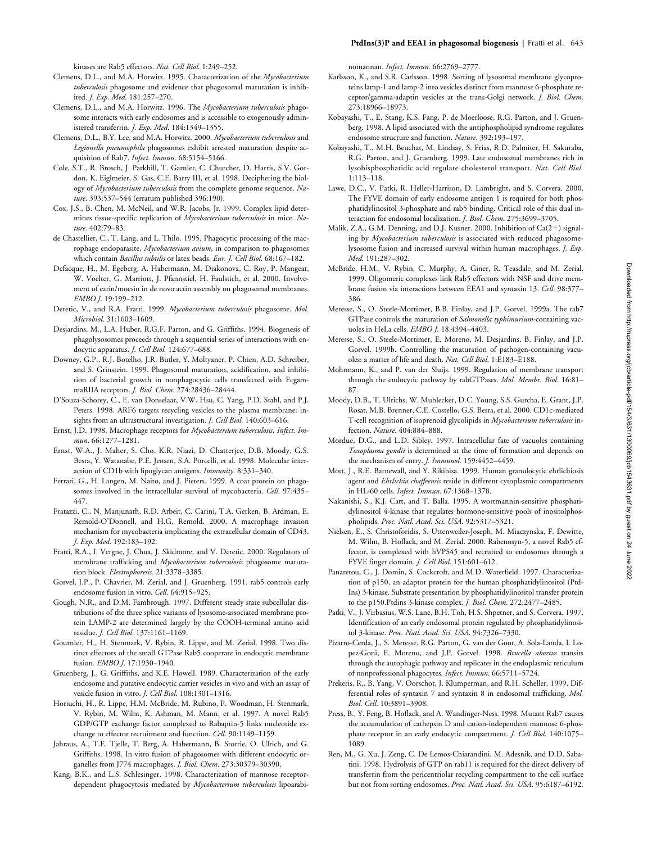kinases are Rab5 effectors. *Nat. Cell Biol*. 1:249–252.

- Clemens, D.L., and M.A. Horwitz. 1995. Characterization of the *Mycobacterium tuberculosis* phagosome and evidence that phagosomal maturation is inhibited. *J. Exp. Med*. 181:257–270.
- Clemens, D.L., and M.A. Horwitz. 1996. The *Mycobacterium tuberculosis* phagosome interacts with early endosomes and is accessible to exogenously administered transferrin. *J. Exp. Med*. 184:1349–1355.
- Clemens, D.L., B.Y. Lee, and M.A. Horwitz. 2000. *Mycobacterium tuberculosis* and *Legionella pneumophila* phagosomes exhibit arrested maturation despite acquisition of Rab7. *Infect. Immun*. 68:5154–5166.
- Cole, S.T., R. Brosch, J. Parkhill, T. Garnier, C. Churcher, D. Harris, S.V. Gordon, K. Eiglmeier, S. Gas, C.E. Barry III, et al. 1998. Deciphering the biology of *Mycobacterium tuberculosis* from the complete genome sequence. *Nature*. 393:537–544 (erratum published 396:190).
- Cox, J.S., B. Chen, M. McNeil, and W.R. Jacobs, Jr. 1999. Complex lipid determines tissue-specific replication of *Mycobacterium tuberculosis* in mice. *Nature*. 402:79–83.
- de Chastellier, C., T. Lang, and L. Thilo. 1995. Phagocytic processing of the macrophage endoparasite, *Mycobacterium avium*, in comparison to phagosomes which contain *Bacillus subtilis* or latex beads. *Eur. J. Cell Biol*. 68:167–182.
- Defacque, H., M. Egeberg, A. Habermann, M. Diakonova, C. Roy, P. Mangeat, W. Voelter, G. Marriott, J. Pfannstiel, H. Faulstich, et al. 2000. Involvement of ezrin/moesin in de novo actin assembly on phagosomal membranes. *EMBO J*. 19:199–212.
- Deretic, V., and R.A. Fratti. 1999. *Mycobacterium tuberculosis* phagosome. *Mol. Microbiol*. 31:1603–1609.
- Desjardins, M., L.A. Huber, R.G.F. Parton, and G. Griffiths. 1994. Biogenesis of phagolysosomes proceeds through a sequential series of interactions with endocytic apparatus. *J. Cell Biol.* 124:677–688.
- Downey, G.P., R.J. Botelho, J.R. Butler, Y. Moltyaner, P. Chien, A.D. Schreiber, and S. Grinstein. 1999. Phagosomal maturation, acidification, and inhibition of bacterial growth in nonphagocytic cells transfected with FcgammaRIIA receptors. *J. Biol. Chem*. 274:28436–28444.
- D'Souza-Schorey, C., E. van Donselaar, V.W. Hsu, C. Yang, P.D. Stahl, and P.J. Peters. 1998. ARF6 targets recycling vesicles to the plasma membrane: insights from an ultrastructural investigation. *J. Cell Biol*. 140:603–616.
- Ernst, J.D. 1998. Macrophage receptors for *Mycobacterium tuberculosis*. *Infect. Immun*. 66:1277–1281.
- Ernst, W.A., J. Maher, S. Cho, K.R. Niazi, D. Chatterjee, D.B. Moody, G.S. Besra, Y. Watanabe, P.E. Jensen, S.A. Porcelli, et al. 1998. Molecular interaction of CD1b with lipoglycan antigens. *Immunity*. 8:331–340.
- Ferrari, G., H. Langen, M. Naito, and J. Pieters. 1999. A coat protein on phagosomes involved in the intracellular survival of mycobacteria. *Cell*. 97:435– 447.
- Fratazzi, C., N. Manjunath, R.D. Arbeit, C. Carini, T.A. Gerken, B. Ardman, E. Remold-O'Donnell, and H.G. Remold. 2000. A macrophage invasion mechanism for mycobacteria implicating the extracellular domain of CD43. *J. Exp. Med*. 192:183–192.
- Fratti, R.A., I. Vergne, J. Chua, J. Skidmore, and V. Deretic. 2000. Regulators of membrane trafficking and *Mycobacterium tuberculosis* phagosome maturation block. *Electrophoresis*. 21:3378–3385.
- Gorvel, J.P., P. Chavrier, M. Zerial, and J. Gruenberg. 1991. rab5 controls early endosome fusion in vitro. *Cell*. 64:915–925.
- Gough, N.R., and D.M. Fambrough. 1997. Different steady state subcellular distributions of the three splice variants of lysosome-associated membrane protein LAMP-2 are determined largely by the COOH-terminal amino acid residue. *J. Cell Biol*. 137:1161–1169.
- Gournier, H., H. Stenmark, V. Rybin, R. Lippe, and M. Zerial. 1998. Two distinct effectors of the small GTPase Rab5 cooperate in endocytic membrane fusion. *EMBO J*. 17:1930–1940.
- Gruenberg, J., G. Griffiths, and K.E. Howell. 1989. Characterization of the early endosome and putative endocytic carrier vesicles in vivo and with an assay of vesicle fusion in vitro. *J. Cell Biol*. 108:1301–1316.
- Horiuchi, H., R. Lippe, H.M. McBride, M. Rubino, P. Woodman, H. Stenmark, V. Rybin, M. Wilm, K. Ashman, M. Mann, et al. 1997. A novel Rab5 GDP/GTP exchange factor complexed to Rabaptin-5 links nucleotide exchange to effector recruitment and function. *Cell*. 90:1149–1159.
- Jahraus, A., T.E. Tjelle, T. Berg, A. Habermann, B. Storrie, O. Ulrich, and G. Griffiths. 1998. In vitro fusion of phagosomes with different endocytic organelles from J774 macrophages. *J. Biol. Chem.* 273:30379–30390.
- Kang, B.K., and L.S. Schlesinger. 1998. Characterization of mannose receptordependent phagocytosis mediated by *Mycobacterium tuberculosis* lipoarabi-

nomannan. *Infect. Immun*. 66:2769–2777.

- Karlsson, K., and S.R. Carlsson. 1998. Sorting of lysosomal membrane glycoproteins lamp-1 and lamp-2 into vesicles distinct from mannose 6-phosphate receptor/gamma-adaptin vesicles at the trans-Golgi network. *J. Biol. Chem*. 273:18966–18973.
- Kobayashi, T., E. Stang, K.S. Fang, P. de Moerloose, R.G. Parton, and J. Gruenberg. 1998. A lipid associated with the antiphospholipid syndrome regulates endosome structure and function. *Nature*. 392:193–197.
- Kobayashi, T., M.H. Beuchat, M. Lindsay, S. Frias, R.D. Palmiter, H. Sakuraba, R.G. Parton, and J. Gruenberg. 1999. Late endosomal membranes rich in lysobisphosphatidic acid regulate cholesterol transport. *Nat. Cell Biol*. 1:113–118.
- Lawe, D.C., V. Patki, R. Heller-Harrison, D. Lambright, and S. Corvera. 2000. The FYVE domain of early endosome antigen 1 is required for both phosphatidylinositol 3-phosphate and rab5 binding. Critical role of this dual interaction for endosomal localization. *J. Biol. Chem*. 275:3699–3705.
- Malik, Z.A., G.M. Denning, and D.J. Kusner. 2000. Inhibition of Ca(2+) signaling by *Mycobacterium tuberculosis* is associated with reduced phagosomelysosome fusion and increased survival within human macrophages. *J. Exp. Med*. 191:287–302.
- McBride, H.M., V. Rybin, C. Murphy, A. Giner, R. Teasdale, and M. Zerial. 1999. Oligomeric complexes link Rab5 effectors with NSF and drive membrane fusion via interactions between EEA1 and syntaxin 13. *Cell*. 98:377– 386.
- Meresse, S., O. Steele-Mortimer, B.B. Finlay, and J.P. Gorvel. 1999a. The rab7 GTPase controls the maturation of *Salmonella typhimurium*-containing vacuoles in HeLa cells. *EMBO J*. 18:4394–4403.
- Meresse, S., O. Steele-Mortimer, E. Moreno, M. Desjardins, B. Finlay, and J.P. Gorvel. 1999b. Controlling the maturation of pathogen-containing vacuoles: a matter of life and death. *Nat. Cell Biol*. 1:E183–E188.
- Mohrmann, K., and P. van der Sluijs. 1999. Regulation of membrane transport through the endocytic pathway by rabGTPases. *Mol. Membr. Biol*. 16:81– 87.
- Moody, D.B., T. Ulrichs, W. Muhlecker, D.C. Young, S.S. Gurcha, E. Grant, J.P. Rosat, M.B. Brenner, C.E. Costello, G.S. Besra, et al. 2000. CD1c-mediated T-cell recognition of isoprenoid glycolipids in *Mycobacterium tuberculosis* infection. *Nature*. 404:884–888.
- Mordue, D.G., and L.D. Sibley. 1997. Intracellular fate of vacuoles containing *Toxoplasma gondii* is determined at the time of formation and depends on the mechanism of entry. *J. Immunol*. 159:4452–4459.
- Mott, J., R.E. Barnewall, and Y. Rikihisa. 1999. Human granulocytic ehrlichiosis agent and *Ehrlichia chaffeensis* reside in different cytoplasmic compartments in HL-60 cells. *Infect. Immun*. 67:1368–1378.
- Nakanishi, S., K.J. Catt, and T. Balla. 1995. A wortmannin-sensitive phosphatidylinositol 4-kinase that regulates hormone-sensitive pools of inositolphospholipids. *Proc. Natl. Acad. Sci. USA*. 92:5317–5321.
- Nielsen, E., S. Christoforidis, S. Uttenweiler-Joseph, M. Miaczynska, F. Dewitte, M. Wilm, B. Hoflack, and M. Zerial. 2000. Rabenosyn-5, a novel Rab5 effector, is complexed with hVPS45 and recruited to endosomes through a FYVE finger domain. *J. Cell Biol*. 151:601–612.
- Panaretou, C., J. Domin, S. Cockcroft, and M.D. Waterfield. 1997. Characterization of p150, an adaptor protein for the human phosphatidylinositol (Ptd-Ins) 3-kinase. Substrate presentation by phosphatidylinositol transfer protein to the p150.Ptdins 3-kinase complex. *J. Biol. Chem*. 272:2477–2485.
- Patki, V., J. Virbasius, W.S. Lane, B.H. Toh, H.S. Shpetner, and S. Corvera. 1997. Identification of an early endosomal protein regulated by phosphatidylinositol 3-kinase. *Proc. Natl. Acad. Sci. USA*. 94:7326–7330.
- Pizarro-Cerda, J., S. Meresse, R.G. Parton, G. van der Goot, A. Sola-Landa, I. Lopez-Goni, E. Moreno, and J.P. Gorvel. 1998. *Brucella abortus* transits through the autophagic pathway and replicates in the endoplasmic reticulum of nonprofessional phagocytes. *Infect. Immun*. 66:5711–5724.
- Prekeris, R., B. Yang, V. Oorschot, J. Klumperman, and R.H. Scheller. 1999. Differential roles of syntaxin 7 and syntaxin 8 in endosomal trafficking. *Mol. Biol. Cell*. 10:3891–3908.
- Press, B., Y. Feng, B. Hoflack, and A. Wandinger-Ness. 1998. Mutant Rab7 causes the accumulation of cathepsin D and cation-independent mannose 6-phosphate receptor in an early endocytic compartment. *J. Cell Biol*. 140:1075– 1089.
- Ren, M., G. Xu, J. Zeng, C. De Lemos-Chiarandini, M. Adesnik, and D.D. Sabatini. 1998. Hydrolysis of GTP on rab11 is required for the direct delivery of transferrin from the pericentriolar recycling compartment to the cell surface but not from sorting endosomes. *Proc. Natl. Acad. Sci. USA*. 95:6187–6192.